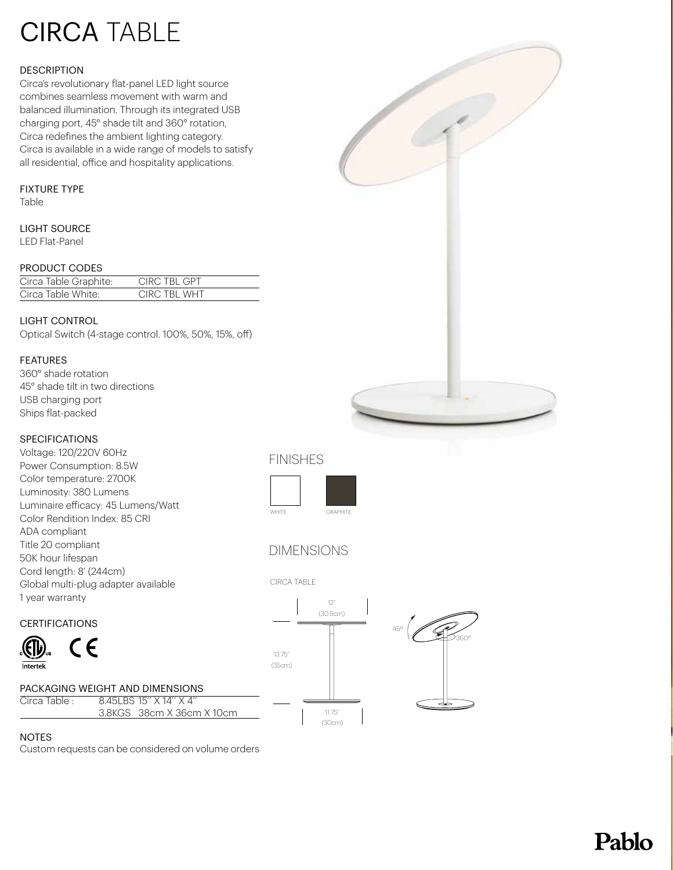# CIRCA TABLE

#### **DESCRIPTION**

Circa's revolutionary flat-panel LED light source combines seamless movement with warm and balanced illumination. Through its integrated USB charging port, 45° shade tilt and 360° rotation, Circa redefines the ambient lighting category. Circa is available in a wide range of models to satisfy all residential, office and hospitality applications.

#### FIXTURE TYPE

Table

#### LIGHT SOURCE

LED Flat-Panel

#### PRODUCT CODES

| Circa Table Graphite: | CIRC TBL GPT |
|-----------------------|--------------|
| Circa Table White:    | CIRC TBL WHT |

#### LIGHT CONTROL

Optical Switch (4-stage control. 100%, 50%, 15%, off)

#### FEATURES

360° shade rotation 45° shade tilt in two directions USB charging port Ships flat-packed

#### SPECIFICATIONS

CERTIFICATIONS

 $\epsilon$ 

Voltage: 120/220V 60Hz Power Consumption: 8.5W Color temperature: 2700K Luminosity: 380 Lumens Luminaire efficacy: 45 Lumens/Watt Color Rendition Index: 85 CRI ADA compliant Title 20 compliant 50K hour lifespan Cord length: 8' (244cm) Global multi-plug adapter available 1 year warranty

#### FINISHES



### DIMENSIONS



#### **NOTES**

Intertek

Custom requests can be considered on volume orders

3.8KGS 38cm X 36cm X 10cm

PACKAGING WEIGHT AND DIMENSIONS Circa Table : 8.45LBS 15'' X 14'' X 4''

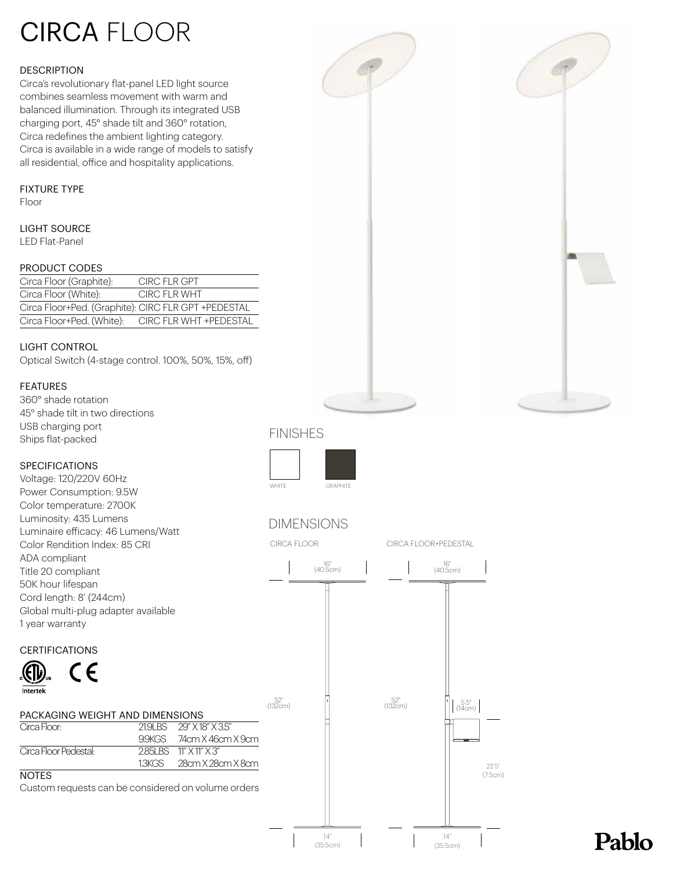# CIRCA FLOOR

#### **DESCRIPTION**

Circa's revolutionary flat-panel LED light source combines seamless movement with warm and balanced illumination. Through its integrated USB charging port, 45° shade tilt and 360° rotation, Circa redefines the ambient lighting category. Circa is available in a wide range of models to satisfy all residential, office and hospitality applications.

#### FIXTURE TYPE

Floor

#### LIGHT SOURCE

LED Flat-Panel

#### PRODUCT CODES

| Circa Floor (Graphite):                             | CIRC FLR GPT           |
|-----------------------------------------------------|------------------------|
| Circa Floor (White):                                | CIRC FLR WHT           |
| Circa Floor+Ped. (Graphite): CIRC FLR GPT +PEDESTAL |                        |
| Circa Floor+Ped. (White):                           | CIRC FLR WHT +PEDESTAL |

#### LIGHT CONTROL

Optical Switch (4-stage control. 100%, 50%, 15%, off)

#### FEATURES

360° shade rotation 45° shade tilt in two directions USB charging port Ships flat-packed

#### SPECIFICATIONS

Voltage: 120/220V 60Hz Power Consumption: 9.5W Color temperature: 2700K Luminosity: 435 Lumens Luminaire efficacy: 46 Lumens/Watt Color Rendition Index: 85 CRI ADA compliant Title 20 compliant 50K hour lifespan Cord length: 8' (244cm) Global multi-plug adapter available 1 year warranty

#### **CERTIFICATIONS**



| Intertek                        |                          |
|---------------------------------|--------------------------|
| PACKAGING WEIGHT AND DIMENSIONS |                          |
| Circa Floor                     | 219 BS 29" X 18" X 35"   |
|                                 | 9.9KGS 74cm X 46cm X 9cm |
| Circa Floor Pedestal:           | 285 BS 11" X 11" X 3"    |
|                                 | 1.3KGS 28cm X 28cm X 8cm |
| <b>NOTES</b>                    |                          |

Custom requests can be considered on volume orders



# FINISHES



### DIMENSIONS

CIRCA FLOOR CIRCA FLOOR+PEDESTAL



# Pablo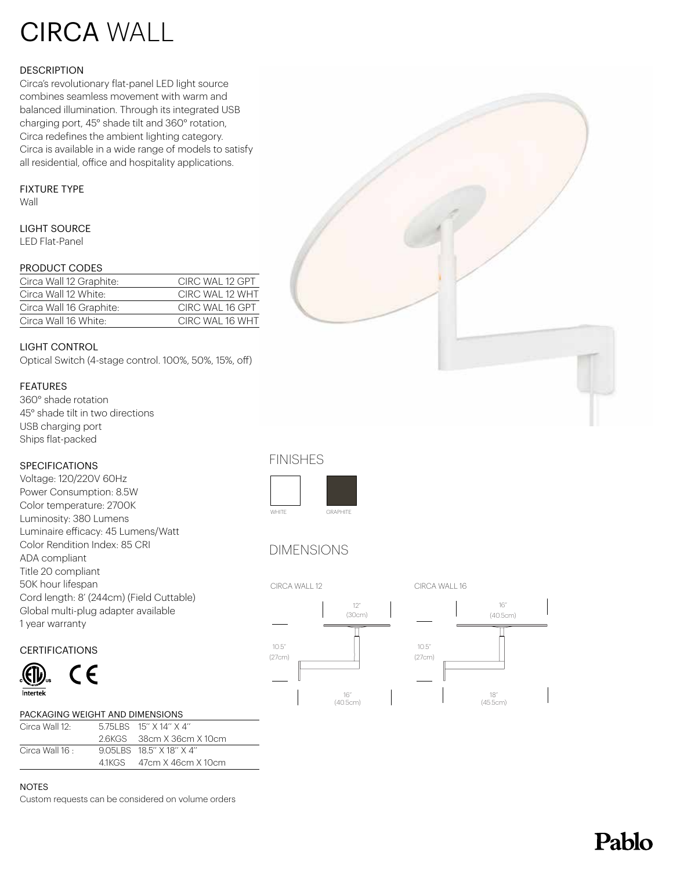# CIRCA WALL

#### **DESCRIPTION**

Circa's revolutionary flat-panel LED light source combines seamless movement with warm and balanced illumination. Through its integrated USB charging port, 45° shade tilt and 360° rotation, Circa redefines the ambient lighting category. Circa is available in a wide range of models to satisfy all residential, office and hospitality applications.

#### FIXTURE TYPE

Wall

#### LIGHT SOURCE

LED Flat-Panel

#### PRODUCT CODES

| Circa Wall 12 Graphite: | CIRC WAL 12 GPT |
|-------------------------|-----------------|
| Circa Wall 12 White:    | CIRC WAL 12 WHT |
| Circa Wall 16 Graphite: | CIRC WAL 16 GPT |
| Circa Wall 16 White:    | CIRC WAL 16 WHT |

#### LIGHT CONTROL

Optical Switch (4-stage control. 100%, 50%, 15%, off)

#### FEATURES

360° shade rotation 45° shade tilt in two directions USB charging port Ships flat-packed

#### SPECIFICATIONS

Voltage: 120/220V 60Hz Power Consumption: 8.5W Color temperature: 2700K Luminosity: 380 Lumens Luminaire efficacy: 45 Lumens/Watt Color Rendition Index: 85 CRI ADA compliant Title 20 compliant 50K hour lifespan Cord length: 8' (244cm) (Field Cuttable) Global multi-plug adapter available 1 year warranty

#### **CERTIFICATIONS**





| Circa Wall 12     | 5751 BS 15" X 14" X 4"             |
|-------------------|------------------------------------|
|                   | 26KGS - 38cm X 36cm X 10cm         |
| Circa Wall $16 -$ | $9051$ BS $185''$ X $18''$ X $4''$ |
|                   | 41KGS 47cm X 46cm X 10cm           |

#### NOTES

Custom requests can be considered on volume orders



## FINISHES



### DIMENSIONS